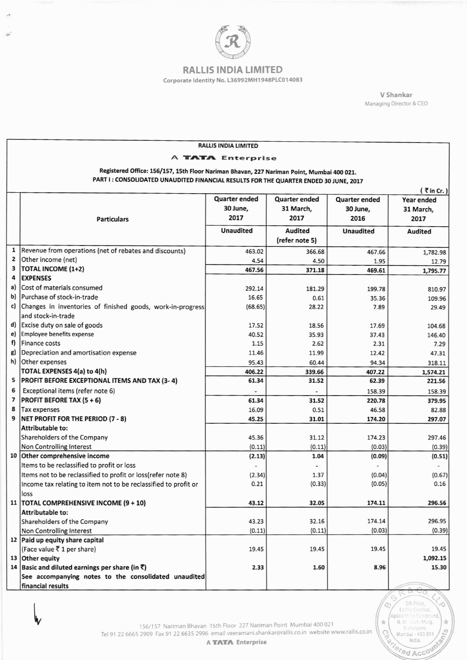

 $\overline{M}$ 

## **RALLIS INDIA LIMITED**

Corporate Identity No. L36992MH1948PLC014083

V Shankar Managing Director & CEO

> 5th Floor, Lodha Excelus,<br>Apollo Millis Compound<br>N. M. Joshi Marg,

Mahalaxmi,<br>Mumbai - 400 011<br>India.

Mumbardia.

 $\frac{1}{24}$ 

 $\frac{1}{24}$ 

**Isla** 

|                                                                                           |                                                                 | <b>RALLIS INDIA LIMITED</b> |                      |                      |                |
|-------------------------------------------------------------------------------------------|-----------------------------------------------------------------|-----------------------------|----------------------|----------------------|----------------|
|                                                                                           |                                                                 |                             |                      |                      |                |
| A <b>TATA</b> Enterprise                                                                  |                                                                 |                             |                      |                      |                |
| Registered Office: 156/157, 15th Floor Nariman Bhavan, 227 Nariman Point, Mumbai 400 021. |                                                                 |                             |                      |                      |                |
| PART I: CONSOLIDATED UNAUDITED FINANCIAL RESULTS FOR THE QUARTER ENDED 30 JUNE, 2017      |                                                                 |                             |                      |                      |                |
| $($ $\overline{z}$ in Cr.)                                                                |                                                                 |                             |                      |                      |                |
|                                                                                           |                                                                 | <b>Quarter ended</b>        | <b>Quarter ended</b> | <b>Quarter ended</b> | Year ended     |
|                                                                                           |                                                                 | 30 June,                    | 31 March,            | 30 June,             | 31 March,      |
|                                                                                           | <b>Particulars</b>                                              | 2017                        | 2017                 | 2016                 | 2017           |
|                                                                                           |                                                                 | <b>Unaudited</b>            | Audited              | <b>Unaudited</b>     | <b>Audited</b> |
|                                                                                           |                                                                 |                             | (refer note 5)       |                      |                |
| $\mathbf{1}$                                                                              | Revenue from operations (net of rebates and discounts)          | 463.02                      |                      |                      |                |
| 2                                                                                         | Other income (net)                                              |                             | 366.68               | 467.66               | 1,782.98       |
| 3                                                                                         | <b>TOTAL INCOME (1+2)</b>                                       | 4.54                        | 4.50                 | 1.95                 | 12.79          |
| 4                                                                                         | <b>EXPENSES</b>                                                 | 467.56                      | 371.18               | 469.61               | 1,795.77       |
| a)                                                                                        | Cost of materials consumed                                      |                             |                      |                      |                |
| b)                                                                                        | Purchase of stock-in-trade                                      | 292.14                      | 181.29               | 199.78               | 810.97         |
|                                                                                           |                                                                 | 16.65                       | 0.61                 | 35.36                | 109.96         |
| c)                                                                                        | Changes in inventories of finished goods, work-in-progress      | (68.65)                     | 28.22                | 7.89                 | 29.49          |
|                                                                                           | and stock-in-trade                                              |                             |                      |                      |                |
|                                                                                           | d) Excise duty on sale of goods                                 | 17.52                       | 18.56                | 17.69                | 104.68         |
| e)                                                                                        | Employee benefits expense                                       | 40.52                       | 35.93                | 37.43                | 146.40         |
| f)                                                                                        | <b>Finance costs</b>                                            | 1.15                        | 2.62                 | 2.31                 | 7.29           |
| g)                                                                                        | Depreciation and amortisation expense                           | 11.46                       | 11.99                | 12.42                | 47.31          |
| h)                                                                                        | Other expenses                                                  | 95.43                       | 60.44                | 94.34                | 318.11         |
|                                                                                           | TOTAL EXPENSES 4(a) to 4(h)                                     | 406.22                      | 339.66               | 407.22               | 1,574.21       |
| 5                                                                                         | <b>PROFIT BEFORE EXCEPTIONAL ITEMS AND TAX (3-4)</b>            | 61.34                       | 31.52                | 62.39                | 221.56         |
| 6                                                                                         | Exceptional items (refer note 6)                                |                             |                      | 158.39               | 158.39         |
| 7                                                                                         | PROFIT BEFORE TAX (5 + 6)                                       | 61.34                       | 31.52                | 220.78               | 379.95         |
| 8                                                                                         | <b>Tax expenses</b>                                             | 16.09                       | 0.51                 | 46.58                | 82.88          |
| 9                                                                                         | <b>NET PROFIT FOR THE PERIOD (7 - 8)</b>                        | 45.25                       | 31.01                | 174.20               | 297.07         |
|                                                                                           | Attributable to:                                                |                             |                      |                      |                |
|                                                                                           | Shareholders of the Company                                     | 45.36                       | 31.12                | 174.23               | 297.46         |
|                                                                                           | Non Controlling Interest                                        | (0.11)                      | (0.11)               | (0.03)               | (0.39)         |
|                                                                                           | 10 Other comprehensive income                                   | (2.13)                      | 1.04                 | (0.09)               | (0.51)         |
|                                                                                           | Items to be reclassified to profit or loss                      |                             |                      |                      |                |
|                                                                                           | Items not to be reclassified to profit or loss(refer note 8)    | (2.34)                      | 1.37                 | (0.04)               | (0.67)         |
|                                                                                           | Income tax relating to item not to be reclassified to profit or | 0.21                        | (0.33)               | (0.05)               | 0.16           |
|                                                                                           | loss                                                            |                             |                      |                      |                |
|                                                                                           | 11   TOTAL COMPREHENSIVE INCOME (9 + 10)                        | 43.12                       | 32.05                | 174.11               | 296.56         |
|                                                                                           | Attributable to:                                                |                             |                      |                      |                |
|                                                                                           | Shareholders of the Company                                     | 43.23                       | 32.16                | 174.14               | 296.95         |
|                                                                                           | Non Controlling Interest                                        | (0.11)                      | (0.11)               | (0.03)               | (0.39)         |
|                                                                                           | 12 Paid up equity share capital                                 |                             |                      |                      |                |
|                                                                                           | (Face value ₹1 per share)                                       | 19.45                       | 19.45                | 19.45                | 19.45          |
|                                                                                           | 13 Other equity                                                 |                             |                      |                      | 1,092.15       |
|                                                                                           | 14 Basic and diluted earnings per share (in $\bar{z}$ )         | 2.33                        | 1.60                 | 8.96                 | 15.30          |
|                                                                                           | See accompanying notes to the consolidated unaudited            |                             |                      |                      |                |
|                                                                                           | financial results                                               |                             |                      |                      |                |

156/157 Nariman Bhavan 15th Floor 227 Nariman Point Mumbai 400 021<br>Tel 91 22 6665 2909 Fax 91 22 6635 2996 email veeramani.shankar@rallis.co.in website www.rallis.co.in

A **TATA** Enterprise